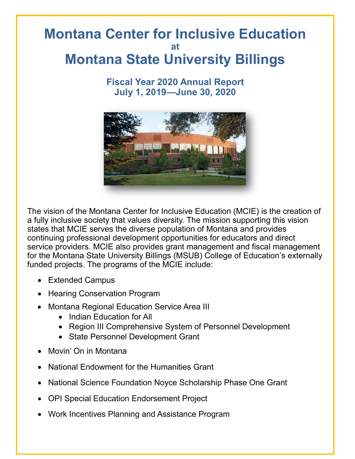# **Montana Center for Inclusive Education at Montana State University Billings**

### **Fiscal Year 2020 Annual Report July 1, 2019—June 30, 2020**



The vision of the Montana Center for Inclusive Education (MCIE) is the creation of a fully inclusive society that values diversity. The mission supporting this vision states that MCIE serves the diverse population of Montana and provides continuing professional development opportunities for educators and direct service providers. MCIE also provides grant management and fiscal management for the Montana State University Billings (MSUB) College of Education's externally funded projects. The programs of the MCIE include:

- Extended Campus
- Hearing Conservation Program
- Montana Regional Education Service Area III
	- Indian Education for All
	- Region III Comprehensive System of Personnel Development
	- State Personnel Development Grant
- Movin' On in Montana
- National Endowment for the Humanities Grant
- National Science Foundation Noyce Scholarship Phase One Grant
- OPI Special Education Endorsement Project
- Work Incentives Planning and Assistance Program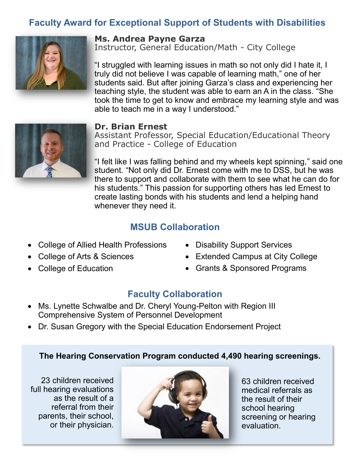# **Faculty Award for Exceptional Support of Students with Disabilities**



#### **Ms. Andrea Payne Garza**

Instructor, General Education/Math - City College

"I struggled with learning issues in math so not only did I hate it, I truly did not believe I was capable of learning math," one of her students said. But after joining Garza's class and experiencing her teaching style, the student was able to earn an A in the class. "She took the time to get to know and embrace my learning style and was able to teach me in a way I understood."

#### **Dr. Brian Ernest**

Assistant Professor, Special Education/Educational Theory and Practice - College of Education

"I felt like I was falling behind and my wheels kept spinning," said one student. "Not only did Dr. Ernest come with me to DSS, but he was there to support and collaborate with them to see what he can do for his students." This passion for supporting others has led Ernest to create lasting bonds with his students and lend a helping hand whenever they need it.

### **MSUB Collaboration**

- College of Allied Health Professions
- College of Arts & Sciences
- College of Education
- Disability Support Services
- Extended Campus at City College
- Grants & Sponsored Programs

### **Faculty Collaboration**

- Ms. Lynette Schwalbe and Dr. Cheryl Young-Pelton with Region III Comprehensive System of Personnel Development
- Dr. Susan Gregory with the Special Education Endorsement Project

#### **The Hearing Conservation Program conducted 4,490 hearing screenings.**

23 children received full hearing evaluations as the result of a referral from their parents, their school, or their physician.



63 children received medical referrals as the result of their school hearing screening or hearing evaluation.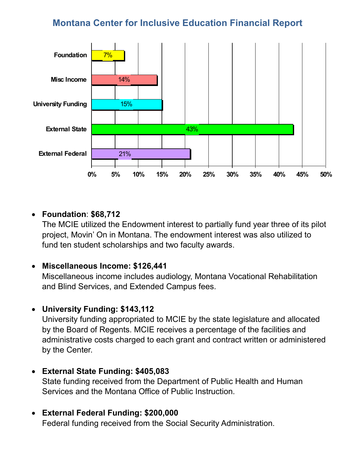## **Montana Center for Inclusive Education Financial Report**



### **Foundation**: **\$68,712**

The MCIE utilized the Endowment interest to partially fund year three of its pilot project, Movin' On in Montana. The endowment interest was also utilized to fund ten student scholarships and two faculty awards.

### **Miscellaneous Income: \$126,441**

Miscellaneous income includes audiology, Montana Vocational Rehabilitation and Blind Services, and Extended Campus fees.

### **University Funding: \$143,112**

University funding appropriated to MCIE by the state legislature and allocated by the Board of Regents. MCIE receives a percentage of the facilities and administrative costs charged to each grant and contract written or administered by the Center.

### **External State Funding: \$405,083**

State funding received from the Department of Public Health and Human Services and the Montana Office of Public Instruction.

### **External Federal Funding: \$200,000**

Federal funding received from the Social Security Administration.